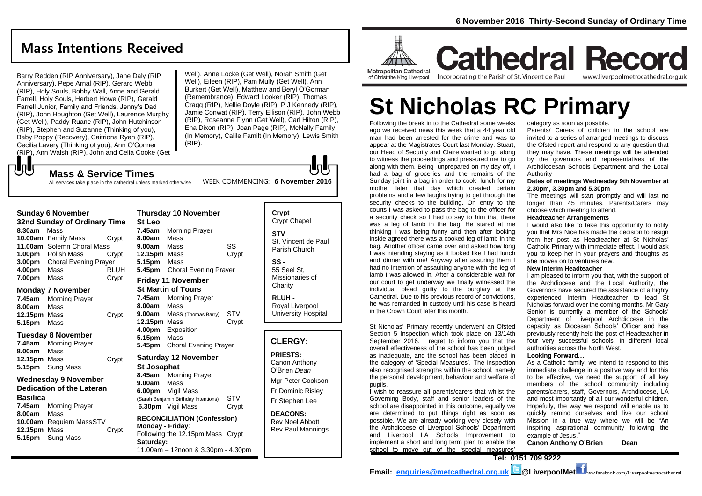## **Mass Intentions Received**

Barry Redden (RIP Anniversary), Jane Daly (RIP Anniversary), Pepe Arnal (RIP), Gerard Webb (RIP), Holy Souls, Bobby Wall, Anne and Gerald Farrell, Holy Souls, Herbert Howe (RIP), Gerald Farrell Junior, Family and Friends, Jenny's Dad (RIP), John Houghton (Get Well), Laurence Murphy (Get Well), Paddy Ruane (RIP), John Hutchinson (RIP), Stephen and Suzanne (Thinking of you), Baby Poppy (Recovery), Caitriona Ryan (RIP), Cecilia Lavery (Thinking of you), Ann O'Conner (RIP), Ann Walsh (RIP), John and Celia Cooke (Get

**Mass & Service Times**

All services take place in the cathedral unless marked otherwise

Well), Anne Locke (Get Well), Norah Smith (Get Well), Eileen (RIP), Pam Mully (Get Well), Ann Burkert (Get Well), Matthew and Beryl O'Gorman (Remembrance), Edward Looker (RIP), Thomas Cragg (RIP), Nellie Doyle (RIP), P J Kennedy (RIP), Jamie Conwat (RIP), Terry Ellison (RIP), John Webb (RIP), Roseanne Flynn (Get Well), Carl Hilton (RIP), Ena Dixon (RIP), Joan Page (RIP), McNally Family (In Memory), Calile Familt (In Memory), Lewis Smith (RIP).

WEEK COMMENCING: **6 November 2016**

**Sunday 6 November** 

もし

| Sunday 6 November            |                              |       |  |  |
|------------------------------|------------------------------|-------|--|--|
| 32nd Sunday of Ordinary Time |                              |       |  |  |
| 8.30am                       | Mass                         |       |  |  |
|                              | 10.00am Family Mass          | Crypt |  |  |
| 11.00am                      | Solemn Choral Mass           |       |  |  |
| 1.00 <sub>pm</sub>           | Polish Mass                  | Crvpt |  |  |
| 3.00 <sub>pm</sub>           | <b>Choral Evening Prayer</b> |       |  |  |
| 4.00pm                       | Mass                         | RLUH  |  |  |
| 7.00pm                       | Mass                         | Crypt |  |  |

#### **Monday 7 November**

| 7.45am       | <b>Morning Prayer</b> |       |
|--------------|-----------------------|-------|
| 8.00am       | Mass                  |       |
| 12.15pm Mass |                       | Crypt |
| 5.15pm Mass  |                       |       |

#### **Tuesday 8 November**

| <b>Morning Prayer</b><br>7.45am |       |
|---------------------------------|-------|
| <b>8.00am</b> Mass              |       |
| 12.15pm Mass                    | Crypt |
| <b>5.15pm</b> Sung Mass         |       |
|                                 |       |

## **Wednesday 9 November Dedication of the Lateran**

## **Basilica 7.45am** Morning Prayer **8.00am** Mass **10.00am** Requiem MassSTV **12.15pm** Mass Crypt **5.15pm** Sung Mass

**St Leo 7.45am** Morning Prayer **8.00am** Mass **9.00am** Mass SS **12.15pm** Mass Crypt **5.15pm** Mass **5.45pm** Choral Evening Prayer **Friday 11 November St Martin of Tours 7.45am** Morning Prayer **8.00am** Mass **9.00am** Mass (Thomas Barry) STV **12.15pm** Mass Crypt **4.00pm** Exposition **5.15pm** Mass **5.45pm** Choral Evening Prayer **Saturday 12 November St Josaphat 8.45am** Morning Prayer **9.00am** Mass **6.00pm** Vigil Mass (Sarah Benjamin Birthday Intentions) STV **6.30pm** Vigil Mass Crypt

**Thursday 10 November** 

### **RECONCILIATION (Confession) Monday - Friday**:

Following the 12.15pm Mass Crypt **Saturday:** 11.00am – 12noon & 3.30pm - 4.30pm

## **Crypt**  Crypt Chapel **STV** St. Vincent de Paul Parish Church

**SS -** 55 Seel St, Missionaries of **Charity** 

**RLUH -** Royal Liverpool University Hospital

## **CLERGY:**

**PRIESTS:** Canon Anthony

O'Brien *Dean* Mgr Peter Cookson

Fr Dominic Risley Fr Stephen Lee

**DEACONS:** Rev Noel Abbott Rev Paul Mannings



**Cathedral Record** Incorporating the Parish of St. Vincent de Paul www.liverpoolmetrocathedral.org.uk

# **St Nicholas RC Primary**

Following the break in to the Cathedral some weeks ago we received news this week that a 44 year old man had been arrested for the crime and was to appear at the Magistrates Court last Monday. Stuart, our Head of Security and Claire wanted to go along to witness the proceedings and pressured me to go along with them. Being unprepared on my day off, I had a bag of groceries and the remains of the Sunday joint in a bag in order to cook lunch for my mother later that day which created certain problems and a few laughs trying to get through the security checks to the building. On entry to the courts I was asked to pass the bag to the officer for a security check so I had to say to him that there was a leg of lamb in the bag. He stared at me thinking I was being funny and then after looking inside agreed there was a cooked leg of lamb in the bag. Another officer came over and asked how long I was intending staying as it looked like I had lunch and dinner with me! Anyway after assuring them I had no intention of assaulting anyone with the leg of lamb I was allowed in. After a considerable wait for our court to get underway we finally witnessed the individual plead guilty to the burglary at the Cathedral. Due to his previous record of convictions, he was remanded in custody until his case is heard in the Crown Court later this month.

St Nicholas' Primary recently underwent an Ofsted Section 5 Inspection which took place on 13/14th September 2016. I regret to inform you that the overall effectiveness of the school has been judged as inadequate, and the school has been placed in the category of 'Special Measures'. The inspection also recognised strengths within the school, namely the personal development, behaviour and welfare of pupils.

I wish to reassure all parents/carers that whilst the Governing Body, staff and senior leaders of the school are disappointed in this outcome, equally we are determined to put things right as soon as possible. We are already working very closely with the Archdiocese of Liverpool Schools' Department and Liverpool LA Schools Improvement to implement a short and long term plan to enable the school to move out of the 'special measures'

category as soon as possible.

Parents/ Carers of children in the school are invited to a series of arranged meetings to discuss the Ofsted report and respond to any question that they may have. These meetings will be attended by the governors and representatives of the Archdiocesan Schools Department and the Local Authority

#### **Dates of meetings Wednesday 9th November at 2.30pm, 3.30pm and 5.30pm**

The meetings will start promptly and will last no longer than 45 minutes. Parents/Carers may choose which meeting to attend.

#### **Headteacher Arrangements**

I would also like to take this opportunity to notify you that Mrs Nice has made the decision to resign from her post as Headteacher at St Nicholas' Catholic Primary with immediate effect. I would ask you to keep her in your prayers and thoughts as she moves on to ventures new.

#### **New Interim Headteacher**

I am pleased to inform you that, with the support of the Archdiocese and the Local Authority, the Governors have secured the assistance of a highly experienced Interim Headteacher to lead St Nicholas forward over the coming months. Mr Gary Senior is currently a member of the Schools' Department of Liverpool Archdiocese in the capacity as Diocesan Schools' Officer and has previously recently held the post of Headteacher in four very successful schools, in different local authorities across the North West.

#### **Looking Forward…**

As a Catholic family, we intend to respond to this immediate challenge in a positive way and for this to be effective, we need the support of all key members of the school community including parents/carers, staff, Governors, Archdiocese, LA and most importantly of all our wonderful children. Hopefully, the way we respond will enable us to quickly remind ourselves and live our school Mission in a true way where we will be "An inspiring aspirational community following the example of Jesus."

**Canon Anthony O'Brien Dean**



**Email: [enquiries@metcathedral.org.uk](mailto:enquiries@metcathedral.org.uk) @LiverpoolMet** ww.facebook.com/Liverpoolmetrocathedral